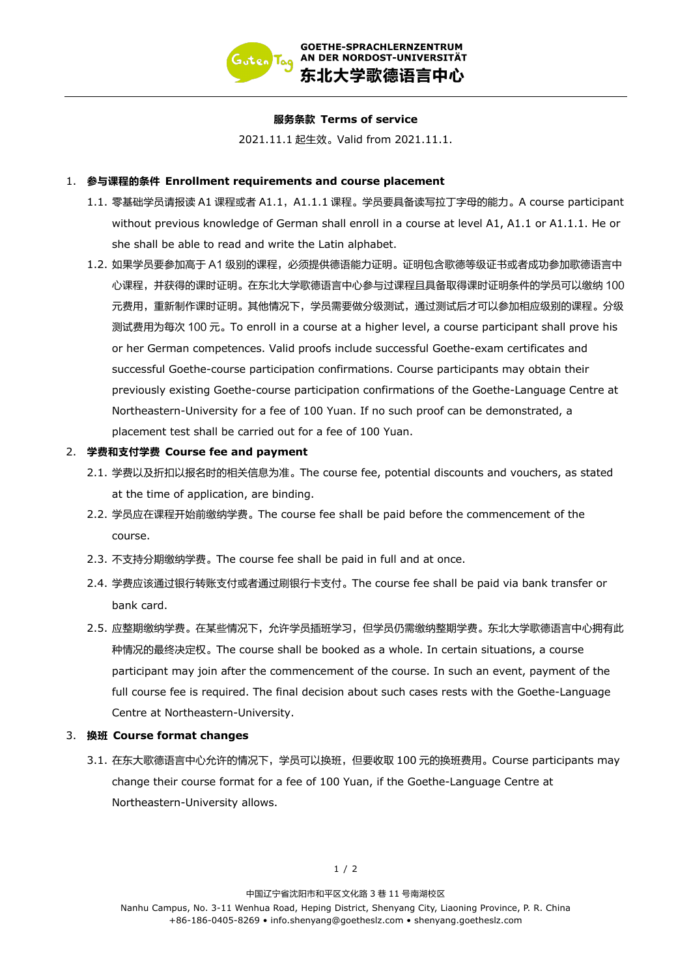

#### 服务条款 Terms of service

2021.11.1 起生效。 Valid from 2021.11.1.

#### 1. 参与课程的条件 Enrollment requirements and course placement

- 1.1. 零基础学员请报读 A1 课程或者 A1.1, A1.1.1 课程。学员要具备读写拉丁字母的能力。A course participant without previous knowledge of German shall enroll in a course at level A1, A1.1 or A1.1.1. He or she shall be able to read and write the Latin alphabet.
- 1.2. 如果学员要参加高于 A1 级别的课程,必须提供德语能力证明。证明包含歌德等级证书或者成功参加歌德语言中 心课程,并获得的课时证明。在东北大学歌德语言中心参与过课程且具备取得课时证明条件的学员可以缴纳100 元费用,重新制作课时证明。其他情况下,学员需要做分级测试,通过测试后才可以参加相应级别的课程。分级 测试费用为每次 100 元。 To enroll in a course at a higher level, a course participant shall prove his or her German competences. Valid proofs include successful Goethe-exam certificates and successful Goethe-course participation confirmations. Course participants may obtain their previously existing Goethe-course participation confirmations of the Goethe-Language Centre at Northeastern-University for a fee of 100 Yuan. If no such proof can be demonstrated, a placement test shall be carried out for a fee of 100 Yuan.

## 2. 学费和支付学费 Course fee and payment

- 2.1. 学费以及折扣以报名时的相关信息为准。The course fee, potential discounts and vouchers, as stated at the time of application, are binding.
- 2.2. 学员应在课程开始前缴纳学费。The course fee shall be paid before the commencement of the course.
- 2.3. 不支持分期缴纳学费。 The course fee shall be paid in full and at once.
- 2.4. 学费应该通过银行转账支付或者通过刷银行卡支付。The course fee shall be paid via bank transfer or bank card.
- 2.5. 应整期缴纳学费。在某些情况下,允许学员插班学习,但学员仍需缴纳整期学费。东北大学歌德语言中心拥有此 种情况的最终决定权。 The course shall be booked as a whole. In certain situations, a course participant may join after the commencement of the course. In such an event, payment of the full course fee is required. The final decision about such cases rests with the Goethe-Language Centre at Northeastern-University.

## 3. 换班 Course format changes

3.1. 在东大歌德语言中心允许的情况下,学员可以换班,但要收取 100 元的换班费用。Course participants may change their course format for a fee of 100 Yuan, if the Goethe-Language Centre at Northeastern-University allows.